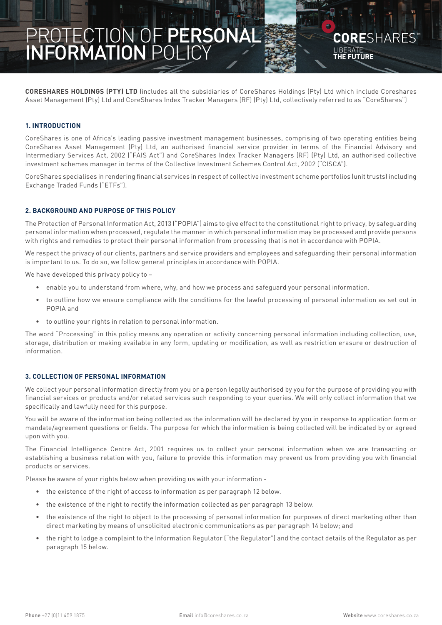# **PROTECTION OF PERSONAL INFORMATION POLICY page 1** PROTECTION OF PERSONAL INFORMATION POLICY

**CORE**SHARES LIBERATE **THE FUTURE**

**CORESHARES HOLDINGS (PTY) LTD** (includes all the subsidiaries of CoreShares Holdings (Pty) Ltd which include Coreshares Asset Management (Pty) Ltd and CoreShares Index Tracker Managers (RF) (Pty) Ltd, collectively referred to as "CoreShares")

# **1. INTRODUCTION**

CoreShares is one of Africa's leading passive investment management businesses, comprising of two operating entities being CoreShares Asset Management (Pty) Ltd, an authorised financial service provider in terms of the Financial Advisory and Intermediary Services Act, 2002 ("FAIS Act") and CoreShares Index Tracker Managers (RF) (Pty) Ltd, an authorised collective investment schemes manager in terms of the Collective Investment Schemes Control Act, 2002 ("CISCA").

CoreShares specialises in rendering financial services in respect of collective investment scheme portfolios (unit trusts) including Exchange Traded Funds ("ETFs").

# **2. BACKGROUND AND PURPOSE OF THIS POLICY**

The Protection of Personal Information Act, 2013 ("POPIA") aims to give effect to the constitutional right to privacy, by safeguarding personal information when processed, regulate the manner in which personal information may be processed and provide persons with rights and remedies to protect their personal information from processing that is not in accordance with POPIA.

We respect the privacy of our clients, partners and service providers and employees and safeguarding their personal information is important to us. To do so, we follow general principles in accordance with POPIA.

We have developed this privacy policy to -

- enable you to understand from where, why, and how we process and safeguard your personal information.
- to outline how we ensure compliance with the conditions for the lawful processing of personal information as set out in POPIA and
- to outline your rights in relation to personal information.

The word "Processing" in this policy means any operation or activity concerning personal information including collection, use, storage, distribution or making available in any form, updating or modification, as well as restriction erasure or destruction of information.

# **3. COLLECTION OF PERSONAL INFORMATION**

We collect your personal information directly from you or a person legally authorised by you for the purpose of providing you with financial services or products and/or related services such responding to your queries. We will only collect information that we specifically and lawfully need for this purpose.

You will be aware of the information being collected as the information will be declared by you in response to application form or mandate/agreement questions or fields. The purpose for which the information is being collected will be indicated by or agreed upon with you.

The Financial Intelligence Centre Act, 2001 requires us to collect your personal information when we are transacting or establishing a business relation with you, failure to provide this information may prevent us from providing you with financial products or services.

Please be aware of your rights below when providing us with your information -

- the existence of the right of access to information as per paragraph 12 below.
- the existence of the right to rectify the information collected as per paragraph 13 below.
- the existence of the right to object to the processing of personal information for purposes of direct marketing other than direct marketing by means of unsolicited electronic communications as per paragraph 14 below; and
- the right to lodge a complaint to the Information Regulator ("the Regulator") and the contact details of the Regulator as per paragraph 15 below.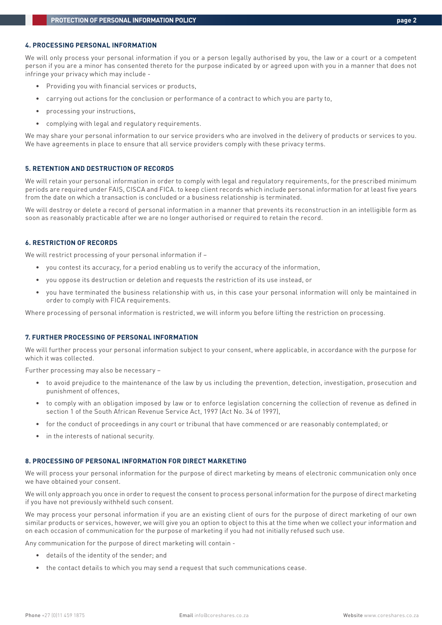# **4. PROCESSING PERSONAL INFORMATION**

We will only process your personal information if you or a person legally authorised by you, the law or a court or a competent person if you are a minor has consented thereto for the purpose indicated by or agreed upon with you in a manner that does not infringe your privacy which may include -

- Providing you with financial services or products,
- carrying out actions for the conclusion or performance of a contract to which you are party to,
- processing your instructions,
- complying with legal and regulatory requirements.

We may share your personal information to our service providers who are involved in the delivery of products or services to you. We have agreements in place to ensure that all service providers comply with these privacy terms.

#### **5. RETENTION AND DESTRUCTION OF RECORDS**

We will retain your personal information in order to comply with legal and regulatory requirements, for the prescribed minimum periods are required under FAIS, CISCA and FICA. to keep client records which include personal information for at least five years from the date on which a transaction is concluded or a business relationship is terminated.

We will destroy or delete a record of personal information in a manner that prevents its reconstruction in an intelligible form as soon as reasonably practicable after we are no longer authorised or required to retain the record.

## **6. RESTRICTION OF RECORDS**

We will restrict processing of your personal information if –

- you contest its accuracy, for a period enabling us to verify the accuracy of the information,
- you oppose its destruction or deletion and requests the restriction of its use instead, or
- you have terminated the business relationship with us, in this case your personal information will only be maintained in order to comply with FICA requirements.

Where processing of personal information is restricted, we will inform you before lifting the restriction on processing.

## **7. FURTHER PROCESSING OF PERSONAL INFORMATION**

We will further process your personal information subject to your consent, where applicable, in accordance with the purpose for which it was collected.

Further processing may also be necessary –

- to avoid prejudice to the maintenance of the law by us including the prevention, detection, investigation, prosecution and punishment of offences,
- to comply with an obligation imposed by law or to enforce legislation concerning the collection of revenue as defined in section 1 of the South African Revenue Service Act, 1997 (Act No. 34 of 1997),
- for the conduct of proceedings in any court or tribunal that have commenced or are reasonably contemplated; or
- in the interests of national security.

## **8. PROCESSING OF PERSONAL INFORMATION FOR DIRECT MARKETING**

We will process your personal information for the purpose of direct marketing by means of electronic communication only once we have obtained your consent.

We will only approach you once in order to request the consent to process personal information for the purpose of direct marketing if you have not previously withheld such consent.

We may process your personal information if you are an existing client of ours for the purpose of direct marketing of our own similar products or services, however, we will give you an option to object to this at the time when we collect your information and on each occasion of communication for the purpose of marketing if you had not initially refused such use.

Any communication for the purpose of direct marketing will contain -

- details of the identity of the sender; and
- the contact details to which you may send a request that such communications cease.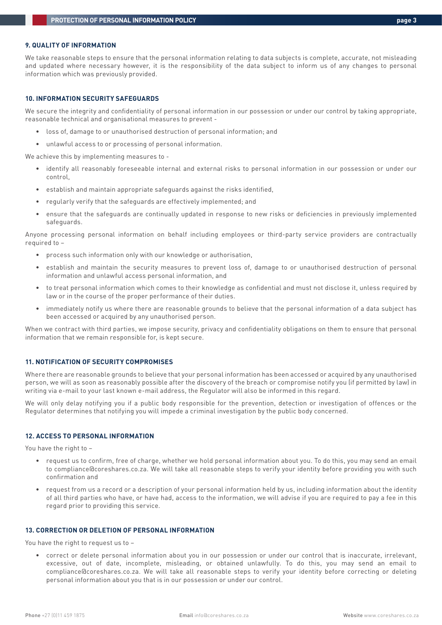#### **9. QUALITY OF INFORMATION**

We take reasonable steps to ensure that the personal information relating to data subjects is complete, accurate, not misleading and updated where necessary however, it is the responsibility of the data subject to inform us of any changes to personal information which was previously provided.

#### **10. INFORMATION SECURITY SAFEGUARDS**

We secure the integrity and confidentiality of personal information in our possession or under our control by taking appropriate, reasonable technical and organisational measures to prevent -

- loss of, damage to or unauthorised destruction of personal information; and
- unlawful access to or processing of personal information.

We achieve this by implementing measures to -

- identify all reasonably foreseeable internal and external risks to personal information in our possession or under our control,
- establish and maintain appropriate safeguards against the risks identified,
- regularly verify that the safeguards are effectively implemented; and
- ensure that the safeguards are continually updated in response to new risks or deficiencies in previously implemented safeguards.

Anyone processing personal information on behalf including employees or third-party service providers are contractually required to –

- process such information only with our knowledge or authorisation,
- establish and maintain the security measures to prevent loss of, damage to or unauthorised destruction of personal information and unlawful access personal information, and
- to treat personal information which comes to their knowledge as confidential and must not disclose it, unless required by law or in the course of the proper performance of their duties.
- immediately notify us where there are reasonable grounds to believe that the personal information of a data subject has been accessed or acquired by any unauthorised person.

When we contract with third parties, we impose security, privacy and confidentiality obligations on them to ensure that personal information that we remain responsible for, is kept secure.

# **11. NOTIFICATION OF SECURITY COMPROMISES**

Where there are reasonable grounds to believe that your personal information has been accessed or acquired by any unauthorised person, we will as soon as reasonably possible after the discovery of the breach or compromise notify you (if permitted by law) in writing via e-mail to your last known e-mail address, the Regulator will also be informed in this regard.

We will only delay notifying you if a public body responsible for the prevention, detection or investigation of offences or the Regulator determines that notifying you will impede a criminal investigation by the public body concerned.

## **12. ACCESS TO PERSONAL INFORMATION**

You have the right to –

- request us to confirm, free of charge, whether we hold personal information about you. To do this, you may send an email to compliance@coreshares.co.za. We will take all reasonable steps to verify your identity before providing you with such confirmation and
- request from us a record or a description of your personal information held by us, including information about the identity of all third parties who have, or have had, access to the information, we will advise if you are required to pay a fee in this regard prior to providing this service.

#### **13. CORRECTION OR DELETION OF PERSONAL INFORMATION**

You have the right to request us to –

• correct or delete personal information about you in our possession or under our control that is inaccurate, irrelevant, excessive, out of date, incomplete, misleading, or obtained unlawfully. To do this, you may send an email to compliance@coreshares.co.za. We will take all reasonable steps to verify your identity before correcting or deleting personal information about you that is in our possession or under our control.